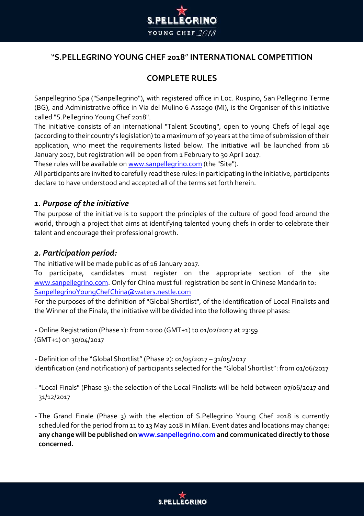

# "**S.PELLEGRINO YOUNG CHEF 2018**" **INTERNATIONAL COMPETITION**

# **COMPLETE RULES**

Sanpellegrino Spa ("Sanpellegrino"), with registered office in Loc. Ruspino, San Pellegrino Terme (BG), and Administrative office in Via del Mulino 6 Assago (MI), is the Organiser of this initiative called "S.Pellegrino Young Chef 2018".

The initiative consists of an international "Talent Scouting", open to young Chefs of legal age (according to their country's legislation) to a maximum of 30 years at the time of submission of their application, who meet the requirements listed below. The initiative will be launched from 16 January 2017, but registration will be open from 1 February to 30 April 2017.

These rules will be available on www.sanpellegrino.com (the "Site").

All participants are invited to carefully read these rules: in participating in the initiative, participants declare to have understood and accepted all of the terms set forth herein.

## *1. Purpose of the initiative*

The purpose of the initiative is to support the principles of the culture of good food around the world, through a project that aims at identifying talented young chefs in order to celebrate their talent and encourage their professional growth.

## *2. Participation period:*

The initiative will be made public as of 16 January 2017.

To participate, candidates must register on the appropriate section of the site www.sanpellegrino.com. Only for China must full registration be sent in Chinese Mandarin to: SanpellegrinoYoungChefChina@waters.nestle.com

For the purposes of the definition of "Global Shortlist", of the identification of Local Finalists and the Winner of the Finale, the initiative will be divided into the following three phases:

- Online Registration (Phase 1): from 10:00 (GMT+1) to 01/02/2017 at 23:59 (GMT+1) on 30/04/2017

- Definition of the "Global Shortlist" (Phase 2): 01/05/2017 – 31/05/2017 Identification (and notification) of participants selected for the "Global Shortlist": from 01/06/2017

- "Local Finals" (Phase 3): the selection of the Local Finalists will be held between 07/06/2017 and 31/12/2017
- The Grand Finale (Phase 3) with the election of S.Pellegrino Young Chef 2018 is currently scheduled for the period from 11 to 13 May 2018 in Milan. Event dates and locations may change: **any change will be published o[n www.sanpellegrino.com](http://www.sanpellegrino.com/) and communicated directly to those concerned.**

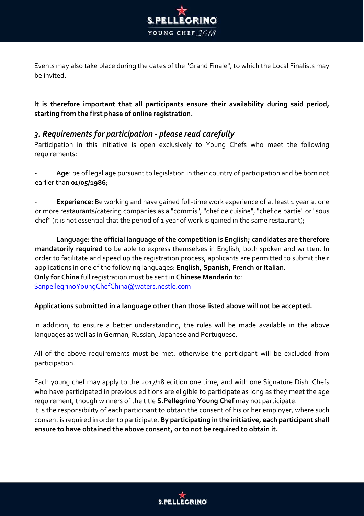

Events may also take place during the dates of the "Grand Finale", to which the Local Finalists may be invited.

**It is therefore important that all participants ensure their availability during said period, starting from the first phase of online registration.**

# *3. Requirements for participation - please read carefully*

Participation in this initiative is open exclusively to Young Chefs who meet the following requirements:

Age: be of legal age pursuant to legislation in their country of participation and be born not earlier than **01/05/1986**;

**Experience**: Be working and have gained full-time work experience of at least 1 year at one or more restaurants/catering companies as a "commis", "chef de cuisine", "chef de partie" or "sous chef" (it is not essential that the period of 1 year of work is gained in the same restaurant);

- **Language: the official language of the competition is English; candidates are therefore mandatorily required to** be able to express themselves in English, both spoken and written. In order to facilitate and speed up the registration process, applicants are permitted to submit their applications in one of the following languages: **English, Spanish, French or Italian. Only for China** full registration must be sent in **Chinese Mandarin** to: SanpellegrinoYoungChefChina@waters.nestle.com

### **Applications submitted in a language other than those listed above will not be accepted.**

In addition, to ensure a better understanding, the rules will be made available in the above languages as well as in German, Russian, Japanese and Portuguese.

All of the above requirements must be met, otherwise the participant will be excluded from participation.

Each young chef may apply to the 2017/18 edition one time, and with one Signature Dish. Chefs who have participated in previous editions are eligible to participate as long as they meet the age requirement, though winners of the title **S.Pellegrino Young Chef** may not participate. It is the responsibility of each participant to obtain the consent of his or her employer, where such consent is required in order to participate. **By participating in the initiative, each participant shall ensure to have obtained the above consent, or to not be required to obtain it.** 

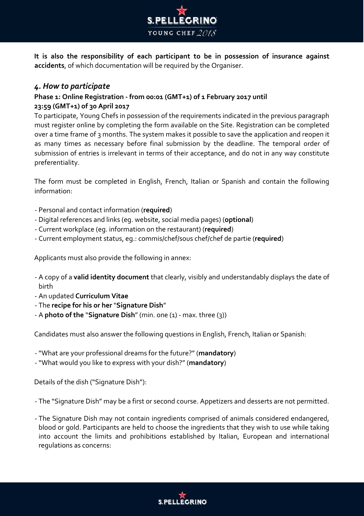

**It is also the responsibility of each participant to be in possession of insurance against accidents**, of which documentation will be required by the Organiser.

## *4. How to participate*

### **Phase 1: Online Registration - from 00:01 (GMT+1) of 1 February 2017 until 23:59 (GMT+1) of 30 April 2017**

To participate, Young Chefs in possession of the requirements indicated in the previous paragraph must register online by completing the form available on the Site. Registration can be completed over a time frame of 3 months. The system makes it possible to save the application and reopen it as many times as necessary before final submission by the deadline. The temporal order of submission of entries is irrelevant in terms of their acceptance, and do not in any way constitute preferentiality.

The form must be completed in English, French, Italian or Spanish and contain the following information:

- Personal and contact information (**required**)
- Digital references and links (eg. website, social media pages) (**optional**)
- Current workplace (eg. information on the restaurant) (**required**)
- Current employment status, eg.: commis/chef/sous chef/chef de partie (**required**)

Applicants must also provide the following in annex:

- A copy of a **valid identity document** that clearly, visibly and understandably displays the date of birth
- An updated **Curriculum Vitae**
- The **recipe for his or her** "**Signature Dish**"
- A **photo of the** "**Signature Dish**" (min. one (1) max. three (3))

Candidates must also answer the following questions in English, French, Italian or Spanish:

- "What are your professional dreams for the future?" (**mandatory**)
- "What would you like to express with your dish?" (**mandatory**)

Details of the dish ("Signature Dish"):

- The "Signature Dish" may be a first or second course. Appetizers and desserts are not permitted.

- The Signature Dish may not contain ingredients comprised of animals considered endangered, blood or gold. Participants are held to choose the ingredients that they wish to use while taking into account the limits and prohibitions established by Italian, European and international regulations as concerns:

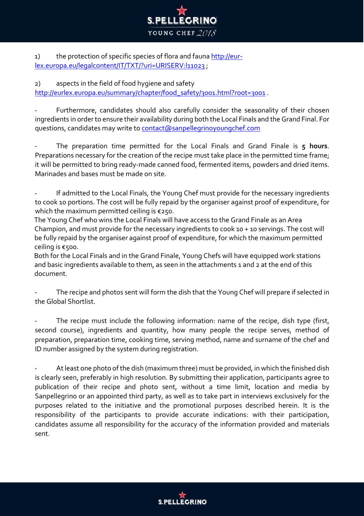

1) the protection of specific species of flora and fauna [http://eur](http://eur-lex.europa.eu/legal-content/IT/TXT/?uri=URISERV:l11023)[lex.europa.eu/legalcontent/IT/TXT/?uri=URISERV:l11023](http://eur-lex.europa.eu/legal-content/IT/TXT/?uri=URISERV:l11023);

# 2) aspects in the field of food hygiene and safety

http://eurlex[.](http://eur-lex.europa.eu/summary/chapter/food_safety/3001.html?root=3001)europa.eu/summary/chapter/food safety/3001.html?root=3001.

Furthermore, candidates should also carefully consider the seasonality of their chosen ingredients in order to ensure their availability during both the Local Finals and the Grand Final. For questions, candidates may write to contact@sanpellegrinoyoungchef.com

- The preparation time permitted for the Local Finals and Grand Finale is **5 hours**. Preparations necessary for the creation of the recipe must take place in the permitted time frame; it will be permitted to bring ready-made canned food, fermented items, powders and dried items. Marinades and bases must be made on site.

If admitted to the Local Finals, the Young Chef must provide for the necessary ingredients to cook 10 portions. The cost will be fully repaid by the organiser against proof of expenditure, for which the maximum permitted ceiling is €250.

The Young Chef who wins the Local Finals will have access to the Grand Finale as an Area Champion, and must provide for the necessary ingredients to cook 10 + 10 servings. The cost will be fully repaid by the organiser against proof of expenditure, for which the maximum permitted ceiling is €500.

Both for the Local Finals and in the Grand Finale, Young Chefs will have equipped work stations and basic ingredients available to them, as seen in the attachments 1 and 2 at the end of this document.

The recipe and photos sent will form the dish that the Young Chef will prepare if selected in the Global Shortlist.

The recipe must include the following information: name of the recipe, dish type (first, second course), ingredients and quantity, how many people the recipe serves, method of preparation, preparation time, cooking time, serving method, name and surname of the chef and ID number assigned by the system during registration.

At least one photo of the dish (maximum three) must be provided, in which the finished dish is clearly seen, preferably in high resolution. By submitting their application, participants agree to publication of their recipe and photo sent, without a time limit, location and media by Sanpellegrino or an appointed third party, as well as to take part in interviews exclusively for the purposes related to the initiative and the promotional purposes described herein. It is the responsibility of the participants to provide accurate indications: with their participation, candidates assume all responsibility for the accuracy of the information provided and materials sent.

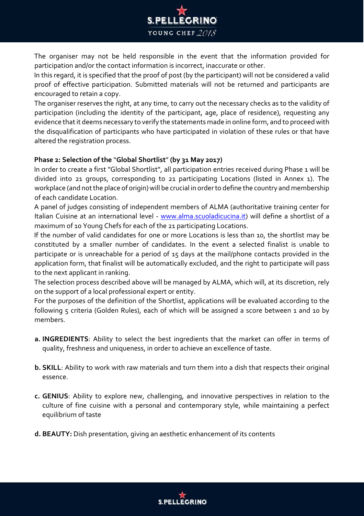

The organiser may not be held responsible in the event that the information provided for participation and/or the contact information is incorrect, inaccurate or other.

In this regard, it is specified that the proof of post (by the participant) will not be considered a valid proof of effective participation. Submitted materials will not be returned and participants are encouraged to retain a copy.

The organiser reserves the right, at any time, to carry out the necessary checks as to the validity of participation (including the identity of the participant, age, place of residence), requesting any evidence that it deems necessary to verify the statements made in online form, and to proceed with the disqualification of participants who have participated in violation of these rules or that have altered the registration process.

### **Phase 2: Selection of the** "**Global Shortlist**" **(by 31 May 2017)**

In order to create a first "Global Shortlist", all participation entries received during Phase 1 will be divided into 21 groups, corresponding to 21 participating Locations (listed in Annex 1). The workplace (and not the place of origin) will be crucial in order to define the country and membership of each candidate Location.

A panel of judges consisting of independent members of ALMA (authoritative training center for Italian Cuisine at an international level - [www.alma.scuoladicucina.it\)](http://www.alma.scuoladicucina.it/) will define a shortlist of a maximum of 10 Young Chefs for each of the 21 participating Locations.

If the number of valid candidates for one or more Locations is less than 10, the shortlist may be constituted by a smaller number of candidates. In the event a selected finalist is unable to participate or is unreachable for a period of 15 days at the mail/phone contacts provided in the application form, that finalist will be automatically excluded, and the right to participate will pass to the next applicant in ranking.

The selection process described above will be managed by ALMA, which will, at its discretion, rely on the support of a local professional expert or entity.

For the purposes of the definition of the Shortlist, applications will be evaluated according to the following 5 criteria (Golden Rules), each of which will be assigned a score between 1 and 10 by members.

- **a. INGREDIENTS**: Ability to select the best ingredients that the market can offer in terms of quality, freshness and uniqueness, in order to achieve an excellence of taste.
- **b. SKILL**: Ability to work with raw materials and turn them into a dish that respects their original essence.
- **c. GENIUS**: Ability to explore new, challenging, and innovative perspectives in relation to the culture of fine cuisine with a personal and contemporary style, while maintaining a perfect equilibrium of taste
- **d. BEAUTY:** Dish presentation, giving an aesthetic enhancement of its contents

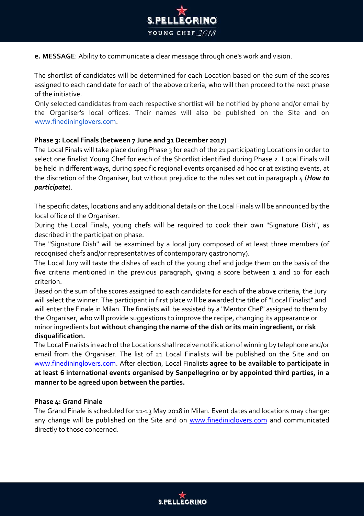

**e. MESSAGE**: Ability to communicate a clear message through one's work and vision.

The shortlist of candidates will be determined for each Location based on the sum of the scores assigned to each candidate for each of the above criteria, who will then proceed to the next phase of the initiative.

Only selected candidates from each respective shortlist will be notified by phone and/or email by the Organiser's local offices. Their names will also be published on the Site and o[n](http://www.finedininglovers.com/) [www.finedininglovers.com.](http://www.finedininglovers.com/)

### **Phase 3: Local Finals (between 7 June and 31 December 2017)**

The Local Finals will take place during Phase 3 for each of the 21 participating Locations in order to select one finalist Young Chef for each of the Shortlist identified during Phase 2. Local Finals will be held in different ways, during specific regional events organised ad hoc or at existing events, at the discretion of the Organiser, but without prejudice to the rules set out in paragraph 4 (*How to participate*).

The specific dates, locations and any additional details on the Local Finals will be announced by the local office of the Organiser.

During the Local Finals, young chefs will be required to cook their own "Signature Dish", as described in the participation phase.

The "Signature Dish" will be examined by a local jury composed of at least three members (of recognised chefs and/or representatives of contemporary gastronomy).

The Local Jury will taste the dishes of each of the young chef and judge them on the basis of the five criteria mentioned in the previous paragraph, giving a score between 1 and 10 for each criterion.

Based on the sum of the scores assigned to each candidate for each of the above criteria, the Jury will select the winner. The participant in first place will be awarded the title of "Local Finalist" and will enter the Finale in Milan. The finalists will be assisted by a "Mentor Chef" assigned to them by the Organiser, who will provide suggestions to improve the recipe, changing its appearance or minor ingredients but **without changing the name of the dish or its main ingredient, or risk disqualification.** 

The Local Finalists in each of the Locations shall receive notification of winning by telephone and/or email from the Organiser. The list of 21 Local Finalists will be published on the Site and on [www.finedininglovers.com.](http://www.finedininglovers.com/) After election, Local Finalists **agree to be available to participate in at least 6 international events organised by Sanpellegrino or by appointed third parties, in a manner to be agreed upon between the parties.**

### **Phase 4: Grand Finale**

The Grand Finale is scheduled for 11-13 May 2018 in Milan. Event dates and locations may change: any change will be published on the Site and on [www.finediniglovers.com](http://www.finedininglovers.com/) [a](http://www.finedininglovers.com/)nd communicated directly to those concerned.

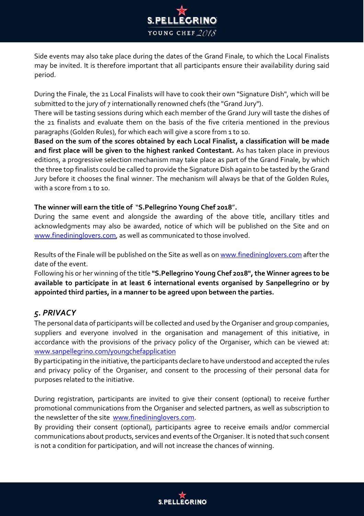

Side events may also take place during the dates of the Grand Finale, to which the Local Finalists may be invited. It is therefore important that all participants ensure their availability during said period.

During the Finale, the 21 Local Finalists will have to cook their own "Signature Dish", which will be submitted to the jury of 7 internationally renowned chefs (the "Grand Jury").

There will be tasting sessions during which each member of the Grand Jury will taste the dishes of the 21 finalists and evaluate them on the basis of the five criteria mentioned in the previous paragraphs (Golden Rules), for which each will give a score from 1 to 10.

**Based on the sum of the scores obtained by each Local Finalist, a classification will be made and first place will be given to the highest ranked Contestant.** As has taken place in previous editions, a progressive selection mechanism may take place as part of the Grand Finale, by which the three top finalists could be called to provide the Signature Dish again to be tasted by the Grand Jury before it chooses the final winner. The mechanism will always be that of the Golden Rules, with a score from 1 to 10.

### **The winner will earn the title of** "**S.Pellegrino Young Chef 2018**"**.**

During the same event and alongside the awarding of the above title, ancillary titles and acknowledgments may also be awarded, notice of which will be published on the Site and on [www.finedininglovers.com,](http://www.finedininglovers.com/) as well as communicated to those involved.

Results of the Finale will be published on the Site as well as o[n www.finedininglovers.com](http://www.finedininglovers.com/) [af](http://www.finedininglovers.com/)ter the date of the event.

Following his or her winning of the title **"S.Pellegrino Young Chef 2018", the Winner agrees to be available to participate in at least 6 international events organised by Sanpellegrino or by appointed third parties, in a manner to be agreed upon between the parties.** 

# *5. PRIVACY*

The personal data of participants will be collected and used by the Organiser and group companies, suppliers and everyone involved in the organisation and management of this initiative, in accordance with the provisions of the privacy policy of the Organiser, which can be viewed at: [www.sanpellegrino.com/youngchefapplication](http://www.sanpellegrino.com/youngchefapplication)

By participating in the initiative, the participants declare to have understood and accepted the rules and privacy policy of the Organiser, and consent to the processing of their personal data for purposes related to the initiative.

During registration, participants are invited to give their consent (optional) to receive further promotional communications from the Organiser and selected partners, as well as subscription to the newsletter of the site [www.finedininglovers.com.](http://www.finedininglovers.com/)

By providing their consent (optional), participants agree to receive emails and/or commercial communications about products, services and events of the Organiser. It is noted that such consent is not a condition for participation, and will not increase the chances of winning.

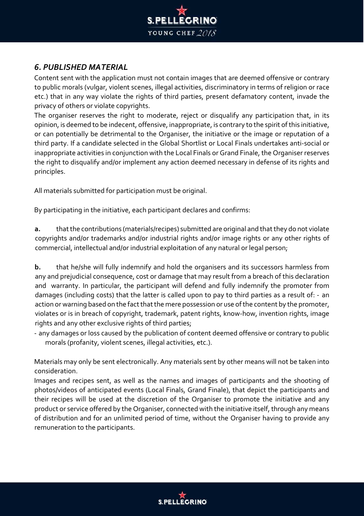

# *6. PUBLISHED MATERIAL*

Content sent with the application must not contain images that are deemed offensive or contrary to public morals (vulgar, violent scenes, illegal activities, discriminatory in terms of religion or race etc.) that in any way violate the rights of third parties, present defamatory content, invade the privacy of others or violate copyrights.

The organiser reserves the right to moderate, reject or disqualify any participation that, in its opinion, is deemed to be indecent, offensive, inappropriate, is contrary to the spirit of this initiative, or can potentially be detrimental to the Organiser, the initiative or the image or reputation of a third party. If a candidate selected in the Global Shortlist or Local Finals undertakes anti-social or inappropriate activities in conjunction with the Local Finals or Grand Finale, the Organiser reserves the right to disqualify and/or implement any action deemed necessary in defense of its rights and principles.

All materials submitted for participation must be original.

By participating in the initiative, each participant declares and confirms:

**a.** that the contributions (materials/recipes) submitted are original and that they do not violate copyrights and/or trademarks and/or industrial rights and/or image rights or any other rights of commercial, intellectual and/or industrial exploitation of any natural or legal person;

**b.** that he/she will fully indemnify and hold the organisers and its successors harmless from any and prejudicial consequence, cost or damage that may result from a breach of this declaration and warranty. In particular, the participant will defend and fully indemnify the promoter from damages (including costs) that the latter is called upon to pay to third parties as a result of: - an action or warning based on the fact that the mere possession or use of the content by the promoter, violates or is in breach of copyright, trademark, patent rights, know-how, invention rights, image rights and any other exclusive rights of third parties;

- any damages or loss caused by the publication of content deemed offensive or contrary to public morals (profanity, violent scenes, illegal activities, etc.).

Materials may only be sent electronically. Any materials sent by other means will not be taken into consideration.

Images and recipes sent, as well as the names and images of participants and the shooting of photos/videos of anticipated events (Local Finals, Grand Finale), that depict the participants and their recipes will be used at the discretion of the Organiser to promote the initiative and any product or service offered by the Organiser, connected with the initiative itself, through any means of distribution and for an unlimited period of time, without the Organiser having to provide any remuneration to the participants.

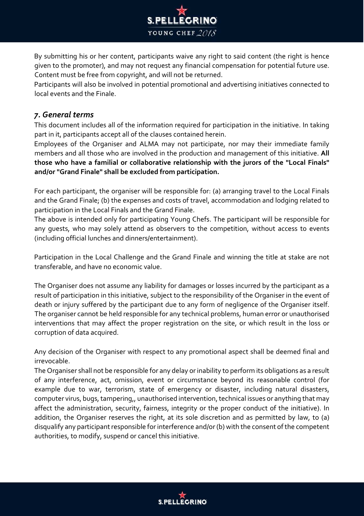

By submitting his or her content, participants waive any right to said content (the right is hence given to the promoter), and may not request any financial compensation for potential future use. Content must be free from copyright, and will not be returned.

Participants will also be involved in potential promotional and advertising initiatives connected to local events and the Finale.

# *7. General terms*

This document includes all of the information required for participation in the initiative. In taking part in it, participants accept all of the clauses contained herein.

Employees of the Organiser and ALMA may not participate, nor may their immediate family members and all those who are involved in the production and management of this initiative. **All those who have a familial or collaborative relationship with the jurors of the "Local Finals" and/or "Grand Finale" shall be excluded from participation.**

For each participant, the organiser will be responsible for: (a) arranging travel to the Local Finals and the Grand Finale; (b) the expenses and costs of travel, accommodation and lodging related to participation in the Local Finals and the Grand Finale.

The above is intended only for participating Young Chefs. The participant will be responsible for any guests, who may solely attend as observers to the competition, without access to events (including official lunches and dinners/entertainment).

Participation in the Local Challenge and the Grand Finale and winning the title at stake are not transferable, and have no economic value.

The Organiser does not assume any liability for damages or losses incurred by the participant as a result of participation in this initiative, subject to the responsibility of the Organiser in the event of death or injury suffered by the participant due to any form of negligence of the Organiser itself. The organiser cannot be held responsible for any technical problems, human error or unauthorised interventions that may affect the proper registration on the site, or which result in the loss or corruption of data acquired.

Any decision of the Organiser with respect to any promotional aspect shall be deemed final and irrevocable.

The Organiser shall not be responsible for any delay or inability to perform its obligations as a result of any interference, act, omission, event or circumstance beyond its reasonable control (for example due to war, terrorism, state of emergency or disaster, including natural disasters, computer virus, bugs, tampering,, unauthorised intervention, technical issues or anything that may affect the administration, security, fairness, integrity or the proper conduct of the initiative). In addition, the Organiser reserves the right, at its sole discretion and as permitted by law, to (a) disqualify any participant responsible for interference and/or (b) with the consent of the competent authorities, to modify, suspend or cancel this initiative.

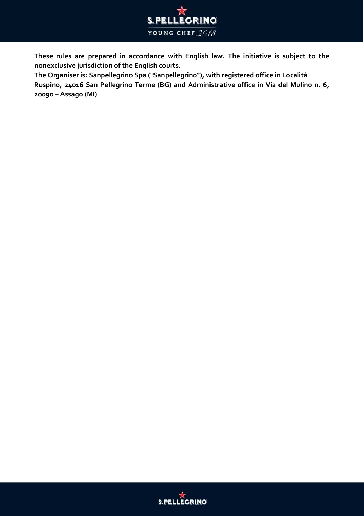

**These rules are prepared in accordance with English law. The initiative is subject to the nonexclusive jurisdiction of the English courts.** 

**The Organiser is: Sanpellegrino Spa (**"**Sanpellegrino**"**), with registered office in Località Ruspino, 24016 San Pellegrino Terme (BG) and Administrative office in Via del Mulino n. 6, 20090** – **Assago (MI)** 

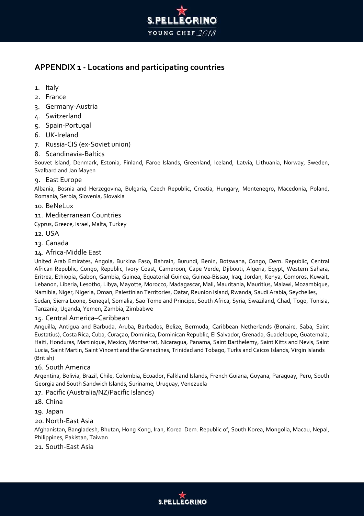

# **APPENDIX 1 - Locations and participating countries**

- 1. Italy
- 2. France
- 3. Germany-Austria
- 4. Switzerland
- 5. Spain-Portugal
- 6. UK-Ireland
- 7. Russia-CIS (ex-Soviet union)
- 8. Scandinavia-Baltics

Bouvet Island, Denmark, Estonia, Finland, Faroe Islands, Greenland, Iceland, Latvia, Lithuania, Norway, Sweden, Svalbard and Jan Mayen

### 9. East Europe

Albania, Bosnia and Herzegovina, Bulgaria, Czech Republic, Croatia, Hungary, Montenegro, Macedonia, Poland, Romania, Serbia, Slovenia, Slovakia

### 10. BeNeLux

- 11. Mediterranean Countries
- Cyprus, Greece, Israel, Malta, Turkey
- 12. USA
- 13. Canada

### 14. Africa-Middle East

United Arab Emirates, Angola, Burkina Faso, Bahrain, Burundi, Benin, Botswana, Congo, Dem. Republic, Central African Republic, Congo, Republic, Ivory Coast, Cameroon, Cape Verde, Djibouti, Algeria, Egypt, Western Sahara, Eritrea, Ethiopia, Gabon, Gambia, Guinea, Equatorial Guinea, Guinea-Bissau, Iraq, Jordan, Kenya, Comoros, Kuwait, Lebanon, Liberia, Lesotho, Libya, Mayotte, Morocco, Madagascar, Mali, Mauritania, Mauritius, Malawi, Mozambique, Namibia, Niger, Nigeria, Oman, Palestinian Territories, Qatar, Reunion Island, Rwanda, Saudi Arabia, Seychelles,

Sudan, Sierra Leone, Senegal, Somalia, Sao Tome and Principe, South Africa, Syria, Swaziland, Chad, Togo, Tunisia, Tanzania, Uganda, Yemen, Zambia, Zimbabwe

#### 15. Central America–Caribbean

Anguilla, Antigua and Barbuda, Aruba, Barbados, Belize, Bermuda, Caribbean Netherlands (Bonaire, Saba, Saint Eustatius), Costa Rica, Cuba, Curaçao, Dominica, Dominican Republic, El Salvador, Grenada, Guadeloupe, Guatemala, Haiti, Honduras, Martinique, Mexico, Montserrat, Nicaragua, Panama, Saint Barthelemy, Saint Kitts and Nevis, Saint Lucia, Saint Martin, Saint Vincent and the Grenadines, Trinidad and Tobago, Turks and Caicos Islands, Virgin Islands (British)

#### 16. South America

Argentina, Bolivia, Brazil, Chile, Colombia, Ecuador, Falkland Islands, French Guiana, Guyana, Paraguay, Peru, South Georgia and South Sandwich Islands, Suriname, Uruguay, Venezuela

### 17. Pacific (Australia/NZ/Pacific Islands)

- 18. China
- 19. Japan

### 20. North-East Asia

Afghanistan, Bangladesh, Bhutan, Hong Kong, Iran, Korea Dem. Republic of, South Korea, Mongolia, Macau, Nepal, Philippines, Pakistan, Taiwan

#### 21. South-East Asia

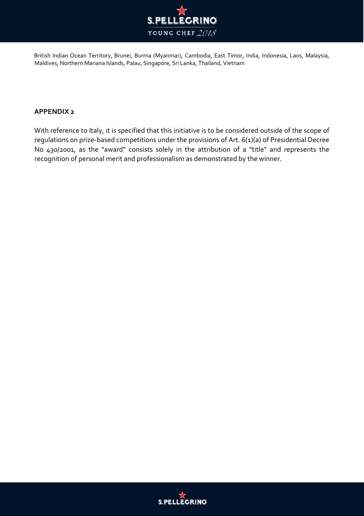

British Indian Ocean Territory, Brunei, Burma (Myanmar), Cambodia, East Timor, India, Indonesia, Laos, Malaysia, Maldives, Northern Mariana Islands, Palau, Singapore, Sri Lanka, Thailand, Vietnam

### **APPENDIX 2**

With reference to Italy, it is specified that this initiative is to be considered outside of the scope of regulations on prize-based competitions under the provisions of Art. 6(1)(a) of Presidential Decree No 430/2001, as the "award" consists solely in the attribution of a "title" and represents the recognition of personal merit and professionalism as demonstrated by the winner.

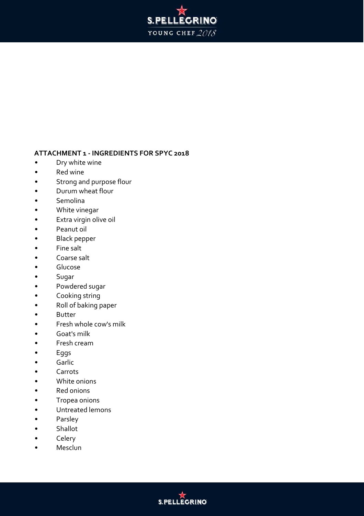

### **ATTACHMENT 1 - INGREDIENTS FOR SPYC 2018**

- Dry white wine
- Red wine
- Strong and purpose flour
- Durum wheat flour
- Semolina
- White vinegar
- Extra virgin olive oil
- Peanut oil
- Black pepper
- Fine salt
- Coarse salt
- Glucose
- Sugar
- Powdered sugar
- Cooking string
- Roll of baking paper
- Butter
- Fresh whole cow's milk
- Goat's milk
- Fresh cream
- Eggs
- Garlic
- Carrots
- White onions
- Red onions
- Tropea onions
- Untreated lemons
- Parsley
- Shallot
- Celery
- **Mesclun**

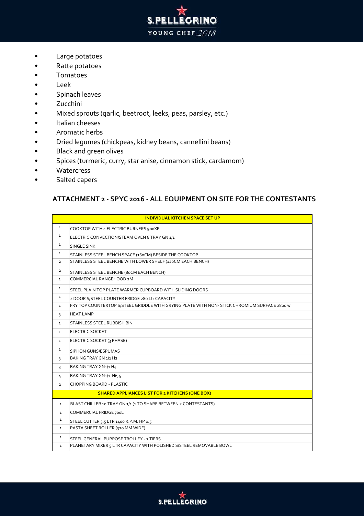- **S.PELLEGRINO** YOUNG CHEF 2018
- Large potatoes
- Ratte potatoes
- Tomatoes
- Leek
- Spinach leaves
- Zucchini
- Mixed sprouts (garlic, beetroot, leeks, peas, parsley, etc.)
- Italian cheeses
- Aromatic herbs
- Dried legumes (chickpeas, kidney beans, cannellini beans)
- Black and green olives
- Spices (turmeric, curry, star anise, cinnamon stick, cardamom)
- Watercress
- Salted capers

### **ATTACHMENT 2 - SPYC 2016 - ALL EQUIPMENT ON SITE FOR THE CONTESTANTS**

| <b>INDIVIDUAL KITCHEN SPACE SET UP</b> |                                                                                              |  |
|----------------------------------------|----------------------------------------------------------------------------------------------|--|
| $\mathbf{1}$                           | COOKTOP WITH 4 ELECTRIC BURNERS 900XP                                                        |  |
| $\mathbf{1}$                           | ELECTRIC CONVECTION/STEAM OVEN 6 TRAY GN 1/1                                                 |  |
| $\mathbf{1}$                           | <b>SINGLE SINK</b>                                                                           |  |
| $\mathbf{1}$                           | STAINLESS STEEL BENCH SPACE (16oCM) BESIDE THE COOKTOP                                       |  |
| $\overline{2}$                         | STAINLESS STEEL BENCHE WITH LOWER SHELF (120CM EACH BENCH)                                   |  |
| $\overline{2}$                         | STAINLESS STEEL BENCHE (80CM EACH BENCH)                                                     |  |
| $\mathbf{1}$                           | COMMERCIAL RANGEHOOD 2M                                                                      |  |
| $\mathbf{1}$                           | STEEL PLAIN TOP PLATE WARMER CUPBOARD WITH SLIDING DOORS                                     |  |
| $\mathbf{1}$                           | 2 DOOR S/STEEL COUNTER FRIDGE 280 Ltr CAPACITY                                               |  |
| $\mathbf{1}$                           | FRY TOP COUNTERTOP S/STEEL GRIDDLE WITH GRYING PLATE WITH NON- STICK CHROMIUM SURFACE 2800 W |  |
| 3                                      | <b>HEAT LAMP</b>                                                                             |  |
| $\mathbf{1}$                           | STAINLESS STEEL RUBBISH BIN                                                                  |  |
| $\mathbf{1}$                           | <b>ELECTRIC SOCKET</b>                                                                       |  |
| $\mathbf{1}$                           | ELECTRIC SOCKET (3 PHASE)                                                                    |  |
| $\mathbf{1}$                           | SIPHON GUNS/ESPUMAS                                                                          |  |
| 3                                      | BAKING TRAY GN 1/1 H2                                                                        |  |
| 3                                      | BAKING TRAY GN1/1 H4                                                                         |  |
| 4                                      | BAKING TRAY GN1/1 H6,5                                                                       |  |
| $\overline{2}$                         | CHOPPING BOARD - PLASTIC                                                                     |  |
|                                        | <b>SHARED APPLIANCES LIST FOR 2 KITCHENS (ONE BOX)</b>                                       |  |
| $\mathbf{1}$                           | BLAST CHILLER 10 TRAY GN 1/1 (1 TO SHARE BETWEEN 2 CONTESTANTS)                              |  |
| $\mathbf{1}$                           | COMMERCIAL FRIDGE 700L                                                                       |  |
| $\mathbf{1}$                           | STEEL CUTTER 3.5 LTR 1400 R.P.M. HP 0.5                                                      |  |
| $\mathbf{1}$                           | PASTA SHEET ROLLER (320 MM WIDE)                                                             |  |
| $\mathbf{1}$                           | STEEL GENERAL PURPOSE TROLLEY - 2 TIERS                                                      |  |
| $\mathbf{1}$                           | PLANETARY MIXER 5 LTR CAPACITY WITH POLISHED S/STEEL REMOVABLE BOWL                          |  |

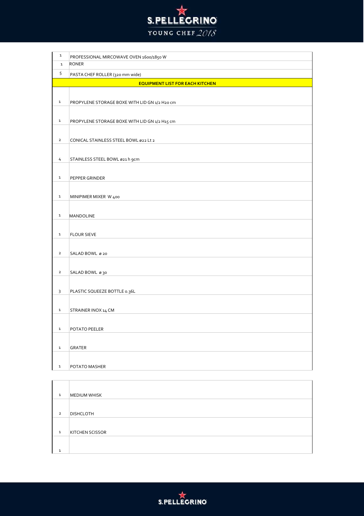

| $\mathbf 1$ | PROFESSIONAL MIRCOWAVE OVEN 1600/1850 W       |
|-------------|-----------------------------------------------|
| $\mathbf 1$ | <b>RONER</b>                                  |
| 5           | PASTA CHEF ROLLER (320 mm wide)               |
|             | <b>EQUIPMENT LIST FOR EACH KITCHEN</b>        |
|             |                                               |
| $\mathbf 1$ | PROPYLENE STORAGE BOXE WITH LID GN 1/2 H20 cm |
|             |                                               |
| $\mathbf 1$ | PROPYLENE STORAGE BOXE WITH LID GN 1/2 H15 cm |
|             |                                               |
| $\mathbf 2$ | CONICAL STAINLESS STEEL BOWL ø22 Lt 2         |
|             |                                               |
|             |                                               |
| 4           | STAINLESS STEEL BOWL ø21 h 9cm                |
|             |                                               |
| $\mathbf 1$ | PEPPER GRINDER                                |
|             |                                               |
| $\mathbf 1$ | MINIPIMER MIXER W 400                         |
|             |                                               |
| $\mathbf 1$ | <b>MANDOLINE</b>                              |
|             |                                               |
| $\mathbf 1$ | <b>FLOUR SIEVE</b>                            |
|             |                                               |
| $\mathbf 2$ | SALAD BOWL ø 20                               |
|             |                                               |
| $\mathbf 2$ | SALAD BOWL 030                                |
|             |                                               |
| 3           | PLASTIC SQUEEZE BOTTLE 0.36L                  |
|             |                                               |
| $\mathbf 1$ | STRAINER INOX 14 CM                           |
|             |                                               |
| $\mathbf 1$ | POTATO PEELER                                 |
|             |                                               |
|             |                                               |
| $\mathbf 1$ | GRATER                                        |
|             |                                               |
| $\mathbf 1$ | POTATO MASHER                                 |

| $\mathbf{1}$   | MEDIUM WHISK           |
|----------------|------------------------|
| $\overline{2}$ | <b>DISHCLOTH</b>       |
| $\mathbf{1}$   | <b>KITCHEN SCISSOR</b> |
| $\mathbf{1}$   |                        |

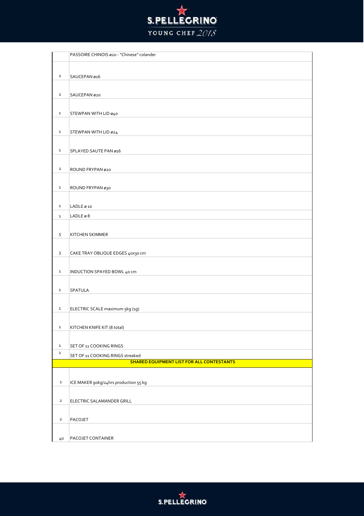

|                | PASSOIRE CHINOIS ø20 - "Chinese" colander        |
|----------------|--------------------------------------------------|
|                |                                                  |
| $\overline{2}$ | SAUCEPAN ø16                                     |
|                |                                                  |
|                |                                                  |
| $\overline{2}$ | SAUCEPAN ø20                                     |
|                |                                                  |
| $\mathbf{1}$   | STEWPAN WITH LID ø40                             |
|                |                                                  |
| $\mathbf{1}$   | STEWPAN WITH LID ø24                             |
|                |                                                  |
| $\mathbf 1$    | SPLAYED SAUTE PAN ø16                            |
|                |                                                  |
| $\overline{2}$ | ROUND FRYPAN ø20                                 |
|                |                                                  |
| $\mathbf 1$    |                                                  |
|                | ROUND FRYPAN 030                                 |
|                |                                                  |
| $\mathbf 1$    | LADLE ø 10                                       |
| $\mathbf 1$    | $LADLE \varnothing 8$                            |
|                |                                                  |
| 5              | <b>KITCHEN SKIMMER</b>                           |
|                |                                                  |
| 3              | CAKE TRAY OBLIQUE EDGES 40x30 cm                 |
|                |                                                  |
| $\mathbf 1$    | INDUCTION SPAYED BOWL 40 cm                      |
|                |                                                  |
| $\mathbf{1}$   | <b>SPATULA</b>                                   |
|                |                                                  |
| $\mathbf 1$    |                                                  |
|                | ELECTRIC SCALE maximum 5kg (1g)                  |
|                |                                                  |
| $\mathtt 1$    | KITCHEN KNIFE KIT (8 total)                      |
|                |                                                  |
| $\mathbf 1$    | SET OF 11 COOKING RINGS                          |
| $\mathbf 1$    | SET OF 11 COOKING RINGS streaked                 |
|                | <b>SHARED EQUIPMENT LIST FOR ALL CONTESTANTS</b> |
|                |                                                  |
| $\mathbf 1$    | ICE MAKER 90kg/24hrs production 55 kg            |
|                |                                                  |
| $\mathbf{2}$   | ELECTRIC SALAMANDER GRILL                        |
|                |                                                  |
| $\overline{2}$ | PACOJET                                          |
|                |                                                  |
| 40             | PACOJET CONTAINER                                |
|                |                                                  |